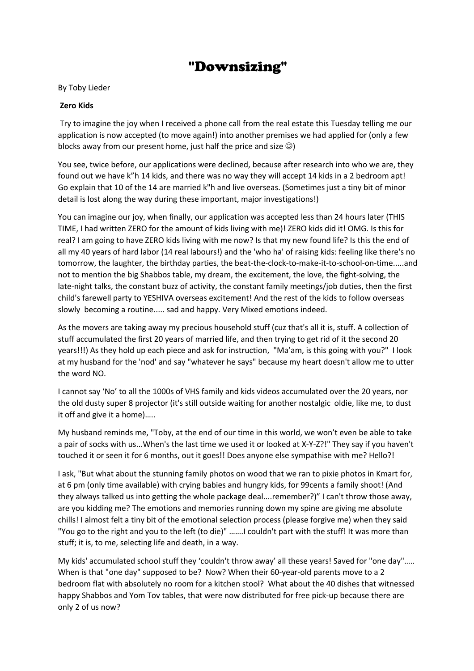## "Downsizing"

## By Toby Lieder

## **Zero Kids**

Try to imagine the joy when I received a phone call from the real estate this Tuesday telling me our application is now accepted (to move again!) into another premises we had applied for (only a few blocks away from our present home, just half the price and size  $\circledcirc$ )

You see, twice before, our applications were declined, because after research into who we are, they found out we have k"h 14 kids, and there was no way they will accept 14 kids in a 2 bedroom apt! Go explain that 10 of the 14 are married k"h and live overseas. (Sometimes just a tiny bit of minor detail is lost along the way during these important, major investigations!)

You can imagine our joy, when finally, our application was accepted less than 24 hours later (THIS TIME, I had written ZERO for the amount of kids living with me)! ZERO kids did it! OMG. Is this for real? I am going to have ZERO kids living with me now? Is that my new found life? Is this the end of all my 40 years of hard labor (14 real labours!) and the 'who ha' of raising kids: feeling like there's no tomorrow, the laughter, the birthday parties, the beat-the-clock-to-make-it-to-school-on-time.....and not to mention the big Shabbos table, my dream, the excitement, the love, the fight-solving, the late-night talks, the constant buzz of activity, the constant family meetings/job duties, then the first child's farewell party to YESHIVA overseas excitement! And the rest of the kids to follow overseas slowly becoming a routine..... sad and happy. Very Mixed emotions indeed.

As the movers are taking away my precious household stuff (cuz that's all it is, stuff. A collection of stuff accumulated the first 20 years of married life, and then trying to get rid of it the second 20 years!!!) As they hold up each piece and ask for instruction, "Ma'am, is this going with you?" I look at my husband for the 'nod' and say "whatever he says" because my heart doesn't allow me to utter the word NO.

I cannot say 'No' to all the 1000s of VHS family and kids videos accumulated over the 20 years, nor the old dusty super 8 projector (it's still outside waiting for another nostalgic oldie, like me, to dust it off and give it a home)…..

My husband reminds me, "Toby, at the end of our time in this world, we won't even be able to take a pair of socks with us...When's the last time we used it or looked at X-Y-Z?!" They say if you haven't touched it or seen it for 6 months, out it goes!! Does anyone else sympathise with me? Hello?!

I ask, "But what about the stunning family photos on wood that we ran to pixie photos in Kmart for, at 6 pm (only time available) with crying babies and hungry kids, for 99cents a family shoot! (And they always talked us into getting the whole package deal....remember?)" I can't throw those away, are you kidding me? The emotions and memories running down my spine are giving me absolute chills! I almost felt a tiny bit of the emotional selection process (please forgive me) when they said "You go to the right and you to the left (to die)" …….I couldn't part with the stuff! It was more than stuff; it is, to me, selecting life and death, in a way.

My kids' accumulated school stuff they 'couldn't throw away' all these years! Saved for "one day"….. When is that "one day" supposed to be? Now? When their 60-year-old parents move to a 2 bedroom flat with absolutely no room for a kitchen stool? What about the 40 dishes that witnessed happy Shabbos and Yom Tov tables, that were now distributed for free pick-up because there are only 2 of us now?